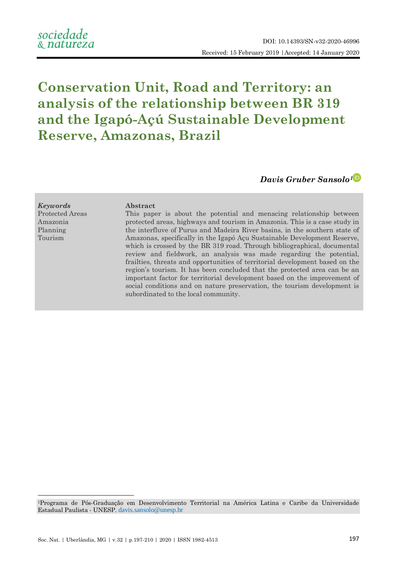# **Conservation Unit, Road and Territory: an analysis of the relationship between BR 319 and the Igapó-Açú Sustainable Development Reserve, Amazonas, Brazil**

*Davis Gruber Sansolo[1](https://orcid.org/0000-0002-4238-9953)*

*Keywords* **Abstract** Protected Areas Amazonia Planning Tourism

1

This paper is about the potential and menacing relationship between protected areas, highways and tourism in Amazonia. This is a case study in the interfluve of Purus and Madeira River basins, in the southern state of Amazonas, specifically in the Igapó Açu Sustainable Development Reserve, which is crossed by the BR 319 road. Through bibliographical, documental review and fieldwork, an analysis was made regarding the potential, frailties, threats and opportunities of territorial development based on the region's tourism. It has been concluded that the protected area can be an important factor for territorial development based on the improvement of social conditions and on nature preservation, the tourism development is subordinated to the local community.

<sup>1</sup>Programa de Pós-Graduação em Desenvolvimento Territorial na América Latina e Caribe da Universidade Estadual Paulista - UNESP. [davis.sansolo@unesp.br](file:///C:/Users/Davis/Downloads/davis.sansolo@unesp.br)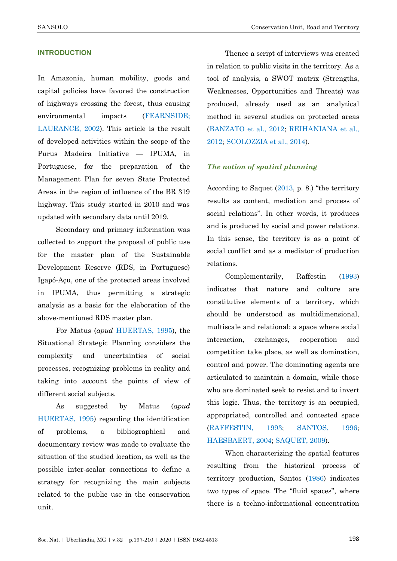## **INTRODUCTION**

In Amazonia, human mobility, goods and capital policies have favored the construction of highways crossing the forest, thus causing environmental impacts [\(FEARNSIDE;](#page-12-0)  [LAURANCE, 2002\)](#page-12-0). This article is the result of developed activities within the scope of the Purus Madeira Initiative — IPUMA, in Portuguese, for the preparation of the Management Plan for seven State Protected Areas in the region of influence of the BR 319 highway. This study started in 2010 and was updated with secondary data until 2019.

Secondary and primary information was collected to support the proposal of public use for the master plan of the Sustainable Development Reserve (RDS, in Portuguese) Igapó-Açu, one of the protected areas involved in IPUMA, thus permitting a strategic analysis as a basis for the elaboration of the above-mentioned RDS master plan.

For Matus (*apud* [HUERTAS, 1995\)](#page-12-1), the Situational Strategic Planning considers the complexity and uncertainties of social processes, recognizing problems in reality and taking into account the points of view of different social subjects.

As suggested by Matus (*apud* [HUERTAS, 1995\)](#page-12-1) regarding the identification of problems, a bibliographical and documentary review was made to evaluate the situation of the studied location, as well as the possible inter-scalar connections to define a strategy for recognizing the main subjects related to the public use in the conservation unit.

Thence a script of interviews was created in relation to public visits in the territory. As a tool of analysis, a SWOT matrix (Strengths, Weaknesses, Opportunities and Threats) was produced, already used as an analytical method in several studies on protected areas [\(BANZATO et al., 2012;](#page-12-2) [REIHANIANA et al.,](#page-13-0)  [2012;](#page-13-0) [SCOLOZZIA et al., 2014\)](#page-13-1).

# *The notion of spatial planning*

According to Saquet  $(2013, p. 8)$  $(2013, p. 8)$  "the territory" results as content, mediation and process of social relations". In other words, it produces and is produced by social and power relations. In this sense, the territory is as a point of social conflict and as a mediator of production relations.

Complementarily, Raffestin [\(1993\)](#page-13-3) indicates that nature and culture are constitutive elements of a territory, which should be understood as multidimensional, multiscale and relational: a space where social interaction, exchanges, cooperation and competition take place, as well as domination, control and power. The dominating agents are articulated to maintain a domain, while those who are dominated seek to resist and to invert this logic. Thus, the territory is an occupied, appropriated, controlled and contested space [\(RAFFESTIN, 1993;](#page-13-3) [SANTOS, 1996;](#page-13-4) [HAESBAERT, 2004;](#page-12-3) [SAQUET, 2009\)](#page-13-2).

When characterizing the spatial features resulting from the historical process of territory production, Santos [\(1986\)](#page-13-5) indicates two types of space. The "fluid spaces", where there is a techno-informational concentration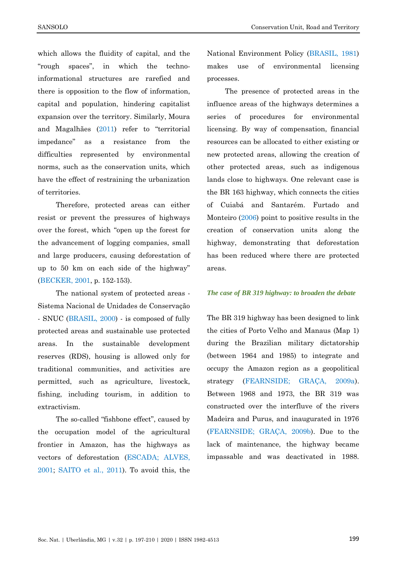which allows the fluidity of capital, and the ―rough spaces‖, in which the technoinformational structures are rarefied and there is opposition to the flow of information, capital and population, hindering capitalist expansion over the territory. Similarly, Moura and Magalhães  $(2011)$  $(2011)$  refer to "territorial impedance‖ as a resistance from the difficulties represented by environmental norms, such as the conservation units, which have the effect of restraining the urbanization of territories.

Therefore, protected areas can either resist or prevent the pressures of highways over the forest, which "open up the forest for the advancement of logging companies, small and large producers, causing deforestation of up to 50 km on each side of the highway" [\(BECKER, 2001,](#page-12-4) p. 152-153).

The national system of protected areas - Sistema Nacional de Unidades de Conservação - SNUC [\(BRASIL, 2000\)](#page-12-5) - is composed of fully protected areas and sustainable use protected areas. In the sustainable development reserves (RDS), housing is allowed only for traditional communities, and activities are permitted, such as agriculture, livestock, fishing, including tourism, in addition to extractivism.

The so-called "fishbone effect", caused by the occupation model of the agricultural frontier in Amazon, has the highways as vectors of deforestation [\(ESCADA; ALVES,](#page-12-6)  [2001;](#page-12-6) [SAITO et al.,](#page-13-7) 2011). To avoid this, the

National Environment Policy [\(BRASIL, 1981\)](#page-12-7) makes use of environmental licensing processes.

The presence of protected areas in the influence areas of the highways determines a series of procedures for environmental licensing. By way of compensation, financial resources can be allocated to either existing or new protected areas, allowing the creation of other protected areas, such as indigenous lands close to highways. One relevant case is the BR 163 highway, which connects the cities of Cuiabá and Santarém. Furtado and Monteiro [\(2006\)](#page-12-8) point to positive results in the creation of conservation units along the highway, demonstrating that deforestation has been reduced where there are protected areas.

#### *The case of BR 319 highway: to broaden the debate*

The BR 319 highway has been designed to link the cities of Porto Velho and Manaus (Map 1) during the Brazilian military dictatorship (between 1964 and 1985) to integrate and occupy the Amazon region as a geopolitical strategy [\(FEARNSIDE; GRAÇA, 2009a\)](#page-12-9). Between 1968 and 1973, the BR 319 was constructed over the interfluve of the rivers Madeira and Purus, and inaugurated in 1976 [\(FEARNSIDE; GRAÇA, 2009b\)](#page-12-10). Due to the lack of maintenance, the highway became impassable and was deactivated in 1988.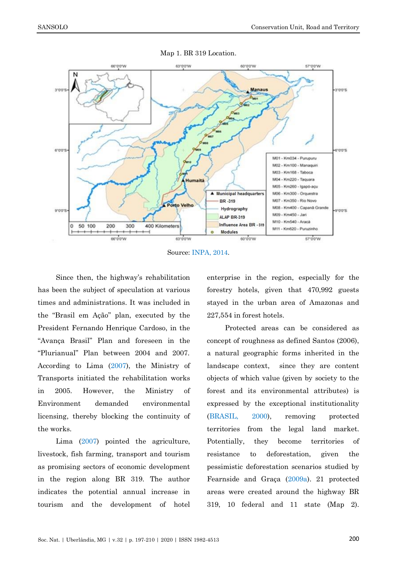

Map 1. BR 319 Location.

Source[: INPA, 2014.](#page-12-11)

Since then, the highway's rehabilitation has been the subject of speculation at various times and administrations. It was included in the "Brasil em Ação" plan, executed by the President Fernando Henrique Cardoso, in the ―Avança Brasil‖ Plan and foreseen in the ―Plurianual‖ Plan between 2004 and 2007. According to Lima [\(2007\)](#page-13-8), the Ministry of Transports initiated the rehabilitation works in 2005. However, the Ministry of Environment demanded environmental licensing, thereby blocking the continuity of the works.

Lima [\(2007\)](#page-13-8) pointed the agriculture, livestock, fish farming, transport and tourism as promising sectors of economic development in the region along BR 319. The author indicates the potential annual increase in tourism and the development of hotel enterprise in the region, especially for the forestry hotels, given that 470,992 guests stayed in the urban area of Amazonas and 227,554 in forest hotels.

Protected areas can be considered as concept of roughness as defined Santos (2006), a natural geographic forms inherited in the landscape context, since they are content objects of which value (given by society to the forest and its environmental attributes) is expressed by the exceptional institutionality [\(BRASIL, 2000\)](#page-12-5), removing protected territories from the legal land market. Potentially, they become territories of resistance to deforestation, given the pessimistic deforestation scenarios studied by Fearnside and Graça [\(2009a\)](#page-12-9). 21 protected areas were created around the highway BR 319, 10 federal and 11 state (Map 2).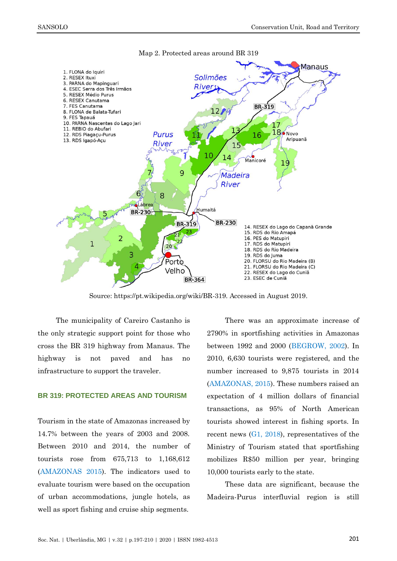

Map 2. Protected areas around BR 319

Source: https://pt.wikipedia.org/wiki/BR-319. Accessed in August 2019.

The municipality of Careiro Castanho is the only strategic support point for those who cross the BR 319 highway from Manaus. The highway is not paved and has no infrastructure to support the traveler.

#### **BR 319: PROTECTED AREAS AND TOURISM**

Tourism in the state of Amazonas increased by 14.7% between the years of 2003 and 2008. Between 2010 and 2014, the number of tourists rose from 675,713 to 1,168,612 [\(AMAZONAS 2015\)](#page-11-0). The indicators used to evaluate tourism were based on the occupation of urban accommodations, jungle hotels, as well as sport fishing and cruise ship segments.

There was an approximate increase of 2790% in sportfishing activities in Amazonas between 1992 and 2000 [\(BEGROW, 2002\)](#page-12-12). In 2010, 6,630 tourists were registered, and the number increased to 9,875 tourists in 2014 [\(AMAZONAS, 2015\)](#page-11-0). These numbers raised an expectation of 4 million dollars of financial transactions, as 95% of North American tourists showed interest in fishing sports. In recent news [\(G1, 2018\)](#page-13-9), representatives of the Ministry of Tourism stated that sportfishing mobilizes R\$50 million per year, bringing 10,000 tourists early to the state.

These data are significant, because the Madeira-Purus interfluvial region is still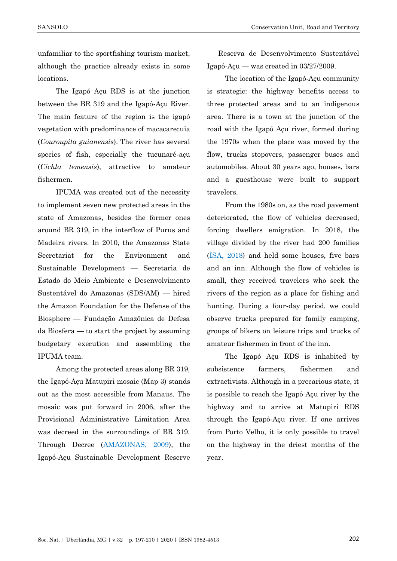unfamiliar to the sportfishing tourism market, although the practice already exists in some locations.

The Igapó Açu RDS is at the junction between the BR 319 and the Igapó-Açu River. The main feature of the region is the igapó vegetation with predominance of macacarecuia (*Couroupita guianensis*). The river has several species of fish, especially the tucunaré-açu (*Cichla temensis*), attractive to amateur fishermen.

IPUMA was created out of the necessity to implement seven new protected areas in the state of Amazonas, besides the former ones around BR 319, in the interflow of Purus and Madeira rivers. In 2010, the Amazonas State Secretariat for the Environment and Sustainable Development — Secretaria de Estado do Meio Ambiente e Desenvolvimento Sustentável do Amazonas (SDS/AM) — hired the Amazon Foundation for the Defense of the Biosphere — Fundação Amazônica de Defesa da Biosfera — to start the project by assuming budgetary execution and assembling the IPUMA team.

Among the protected areas along BR 319, the Igapó-Açu Matupiri mosaic (Map 3) stands out as the most accessible from Manaus. The mosaic was put forward in 2006, after the Provisional Administrative Limitation Area was decreed in the surroundings of BR 319. Through Decree [\(AMAZONAS, 2009\)](#page-11-1), the Igapó-Açu Sustainable Development Reserve

— Reserva de Desenvolvimento Sustentável Igapó-Açu — was created in 03/27/2009.

The location of the Igapó-Açu community is strategic: the highway benefits access to three protected areas and to an indigenous area. There is a town at the junction of the road with the Igapó Açu river, formed during the 1970s when the place was moved by the flow, trucks stopovers, passenger buses and automobiles. About 30 years ago, houses, bars and a guesthouse were built to support travelers.

From the 1980s on, as the road pavement deteriorated, the flow of vehicles decreased, forcing dwellers emigration. In 2018, the village divided by the river had 200 families [\(ISA, 2018\)](#page-12-11) and held some houses, five bars and an inn. Although the flow of vehicles is small, they received travelers who seek the rivers of the region as a place for fishing and hunting. During a four-day period, we could observe trucks prepared for family camping, groups of bikers on leisure trips and trucks of amateur fishermen in front of the inn.

The Igapó Açu RDS is inhabited by subsistence farmers, fishermen and extractivists. Although in a precarious state, it is possible to reach the Igapó Açu river by the highway and to arrive at Matupiri RDS through the Igapó-Açu river. If one arrives from Porto Velho, it is only possible to travel on the highway in the driest months of the year.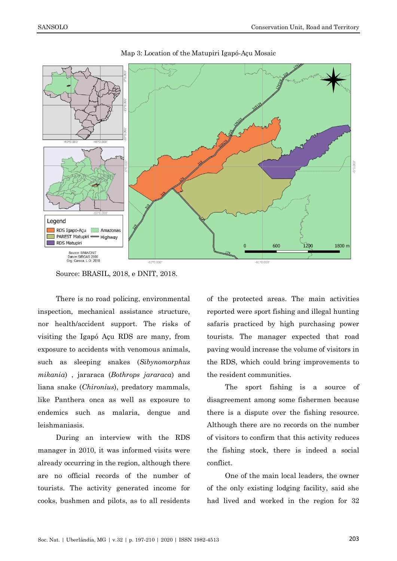

Map 3: Location of the Matupiri Igapó-Açu Mosaic

Source: BRASIL, 2018, e DNIT, 2018.

There is no road policing, environmental inspection, mechanical assistance structure, nor health/accident support. The risks of visiting the Igapó Açu RDS are many, from exposure to accidents with venomous animals, such as sleeping snakes (*Sibynomorphus mikania*) , jararaca (*Bothrops jararaca*) and liana snake (*Chironius*), predatory mammals, like Panthera onca as well as exposure to endemics such as malaria, dengue and leishmaniasis.

During an interview with the RDS manager in 2010, it was informed visits were already occurring in the region, although there are no official records of the number of tourists. The activity generated income for cooks, bushmen and pilots, as to all residents of the protected areas. The main activities reported were sport fishing and illegal hunting safaris practiced by high purchasing power tourists. The manager expected that road paving would increase the volume of visitors in the RDS, which could bring improvements to the resident communities.

The sport fishing is a source of disagreement among some fishermen because there is a dispute over the fishing resource. Although there are no records on the number of visitors to confirm that this activity reduces the fishing stock, there is indeed a social conflict.

One of the main local leaders, the owner of the only existing lodging facility, said she had lived and worked in the region for 32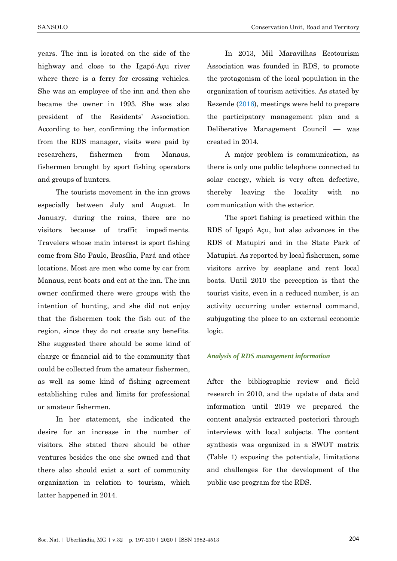SANSOLO **Conservation Unit, Road and Territory** 

years. The inn is located on the side of the highway and close to the Igapó-Açu river where there is a ferry for crossing vehicles. She was an employee of the inn and then she became the owner in 1993. She was also president of the Residents' Association. According to her, confirming the information from the RDS manager, visits were paid by researchers, fishermen from Manaus, fishermen brought by sport fishing operators and groups of hunters.

The tourists movement in the inn grows especially between July and August. In January, during the rains, there are no visitors because of traffic impediments. Travelers whose main interest is sport fishing come from São Paulo, Brasília, Pará and other locations. Most are men who come by car from Manaus, rent boats and eat at the inn. The inn owner confirmed there were groups with the intention of hunting, and she did not enjoy that the fishermen took the fish out of the region, since they do not create any benefits. She suggested there should be some kind of charge or financial aid to the community that could be collected from the amateur fishermen, as well as some kind of fishing agreement establishing rules and limits for professional or amateur fishermen.

In her statement, she indicated the desire for an increase in the number of visitors. She stated there should be other ventures besides the one she owned and that there also should exist a sort of community organization in relation to tourism, which latter happened in 2014.

In 2013, Mil Maravilhas Ecotourism Association was founded in RDS, to promote the protagonism of the local population in the organization of tourism activities. As stated by Rezende [\(2016\)](#page-13-10), meetings were held to prepare the participatory management plan and a Deliberative Management Council — was created in 2014.

A major problem is communication, as there is only one public telephone connected to solar energy, which is very often defective, thereby leaving the locality with no communication with the exterior.

The sport fishing is practiced within the RDS of Igapó Açu, but also advances in the RDS of Matupiri and in the State Park of Matupiri. As reported by local fishermen, some visitors arrive by seaplane and rent local boats. Until 2010 the perception is that the tourist visits, even in a reduced number, is an activity occurring under external command, subjugating the place to an external economic logic.

#### *Analysis of RDS management information*

After the bibliographic review and field research in 2010, and the update of data and information until 2019 we prepared the content analysis extracted posteriori through interviews with local subjects. The content synthesis was organized in a SWOT matrix (Table 1) exposing the potentials, limitations and challenges for the development of the public use program for the RDS.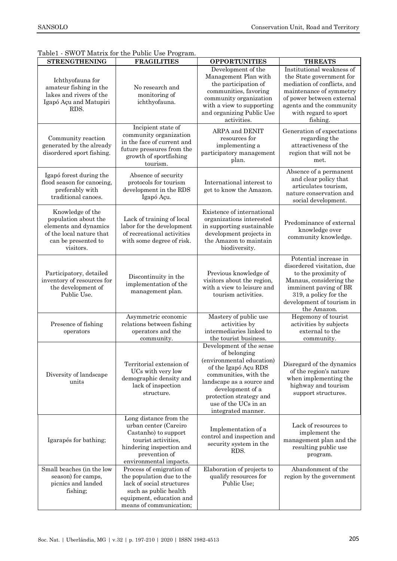|                                                                                                                                   | $\beta$ is the set of the Labile $\beta$ of Logian.                                                                                                                   |                                                                                                                                                                                                                                                  |                                                                                                                                                                                                              |
|-----------------------------------------------------------------------------------------------------------------------------------|-----------------------------------------------------------------------------------------------------------------------------------------------------------------------|--------------------------------------------------------------------------------------------------------------------------------------------------------------------------------------------------------------------------------------------------|--------------------------------------------------------------------------------------------------------------------------------------------------------------------------------------------------------------|
| <b>STRENGTHENING</b>                                                                                                              | <b>FRAGILITIES</b>                                                                                                                                                    | <b>OPPORTUNITIES</b>                                                                                                                                                                                                                             | <b>THREATS</b>                                                                                                                                                                                               |
| Ichthyofauna for<br>amateur fishing in the<br>lakes and rivers of the<br>Igapó Açu and Matupiri<br>RDS.                           | No research and<br>monitoring of<br>ichthyofauna.                                                                                                                     | Development of the<br>Management Plan with<br>the participation of<br>communities, favoring<br>community organization<br>with a view to supporting<br>and organizing Public Use<br>activities.                                                   | Institutional weakness of<br>the State government for<br>mediation of conflicts, and<br>maintenance of symmetry<br>of power between external<br>agents and the community<br>with regard to sport<br>fishing. |
| Community reaction<br>generated by the already<br>disordered sport fishing.                                                       | Incipient state of<br>community organization<br>in the face of current and<br>future pressures from the<br>growth of sportfishing<br>tourism.                         | ARPA and DENIT<br>resources for<br>implementing a<br>participatory management<br>plan.                                                                                                                                                           | Generation of expectations<br>regarding the<br>attractiveness of the<br>region that will not be<br>met.                                                                                                      |
| Igapó forest during the<br>flood season for canoeing,<br>preferably with<br>traditional canoes.                                   | Absence of security<br>protocols for tourism<br>development in the RDS<br>Igapó Açu.                                                                                  | International interest to<br>get to know the Amazon.                                                                                                                                                                                             | Absence of a permanent<br>and clear policy that<br>articulates tourism,<br>nature conservation and<br>social development.                                                                                    |
| Knowledge of the<br>population about the<br>elements and dynamics<br>of the local nature that<br>can be presented to<br>visitors. | Lack of training of local<br>labor for the development<br>of recreational activities<br>with some degree of risk.                                                     | Existence of international<br>organizations interested<br>in supporting sustainable<br>development projects in<br>the Amazon to maintain<br>biodiversity.                                                                                        | Predominance of external<br>knowledge over<br>community knowledge.                                                                                                                                           |
| Participatory, detailed<br>inventory of resources for<br>the development of<br>Public Use.                                        | Discontinuity in the<br>implementation of the<br>management plan.                                                                                                     | Previous knowledge of<br>visitors about the region,<br>with a view to leisure and<br>tourism activities.                                                                                                                                         | Potential increase in<br>disordered visitation, due<br>to the proximity of<br>Manaus, considering the<br>imminent paving of BR<br>319, a policy for the<br>development of tourism in<br>the Amazon.          |
| Presence of fishing<br>operators                                                                                                  | Asymmetric economic<br>relations between fishing<br>operators and the<br>community.                                                                                   | Mastery of public use<br>activities by<br>intermediaries linked to<br>the tourist business.                                                                                                                                                      | Hegemony of tourist<br>activities by subjects<br>external to the<br>community.                                                                                                                               |
| Diversity of landscape<br>units                                                                                                   | Territorial extension of<br>UCs with very low<br>demographic density and<br>lack of inspection<br>structure.                                                          | Development of the sense<br>of belonging<br>(environmental education)<br>of the Igapó Açu RDS<br>communities, with the<br>landscape as a source and<br>development of a<br>protection strategy and<br>use of the UCs in an<br>integrated manner. | Disregard of the dynamics<br>of the region's nature<br>when implementing the<br>highway and tourism<br>support structures.                                                                                   |
| Igarapés for bathing;                                                                                                             | Long distance from the<br>urban center (Careiro<br>Castanho) to support<br>tourist activities,<br>hindering inspection and<br>prevention of<br>environmental impacts. | Implementation of a<br>control and inspection and<br>security system in the<br>RDS.                                                                                                                                                              | Lack of resources to<br>implement the<br>management plan and the<br>resulting public use<br>program.                                                                                                         |
| Small beaches (in the low<br>season) for camps,<br>picnics and landed<br>fishing;                                                 | Process of emigration of<br>the population due to the<br>lack of social structures<br>such as public health<br>equipment, education and<br>means of communication;    | Elaboration of projects to<br>qualify resources for<br>Public Use;                                                                                                                                                                               | Abandonment of the<br>region by the government                                                                                                                                                               |

# Table1 - SWOT Matrix for the Public Use Program.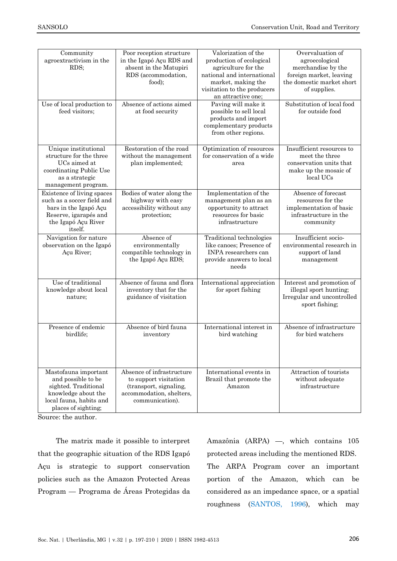| Community<br>agroextractivism in the<br>RDS;                                                                                                 | Poor reception structure<br>in the Igapó Açu RDS and<br>absent in the Matupiri<br>RDS (accommodation,<br>food);             | Valorization of the<br>production of ecological<br>agriculture for the<br>national and international<br>market, making the<br>visitation to the producers<br>an attractive one; | Overvaluation of<br>agroecological<br>merchandise by the<br>foreign market, leaving<br>the domestic market short<br>of supplies. |
|----------------------------------------------------------------------------------------------------------------------------------------------|-----------------------------------------------------------------------------------------------------------------------------|---------------------------------------------------------------------------------------------------------------------------------------------------------------------------------|----------------------------------------------------------------------------------------------------------------------------------|
| Use of local production to<br>feed visitors;                                                                                                 | Absence of actions aimed<br>at food security                                                                                | Paving will make it<br>possible to sell local<br>products and import<br>complementary products<br>from other regions.                                                           | Substitution of local food<br>for outside food                                                                                   |
| Unique institutional<br>structure for the three<br>UCs aimed at<br>coordinating Public Use<br>as a strategic<br>management program.          | Restoration of the road<br>without the management<br>plan implemented;                                                      | Optimization of resources<br>for conservation of a wide<br>area                                                                                                                 | Insufficient resources to<br>meet the three<br>conservation units that<br>make up the mosaic of<br>local UCs                     |
| Existence of living spaces<br>such as a soccer field and<br>bars in the Igapó Açu<br>Reserve, igarapés and<br>the Igapó Açu River<br>itself. | Bodies of water along the<br>highway with easy<br>accessibility without any<br>protection;                                  | Implementation of the<br>management plan as an<br>opportunity to attract<br>resources for basic<br>infrastructure                                                               | Absence of forecast<br>resources for the<br>implementation of basic<br>infrastructure in the<br>community                        |
| Navigation for nature<br>observation on the Igapó<br>Açu River;                                                                              | Absence of<br>environmentally<br>compatible technology in<br>the Igapó Açu RDS;                                             | Traditional technologies<br>like canoes; Presence of<br>INPA researchers can<br>provide answers to local<br>needs                                                               | Insufficient socio-<br>environmental research in<br>support of land<br>management                                                |
| Use of traditional<br>knowledge about local<br>nature;                                                                                       | Absence of fauna and flora<br>inventory that for the<br>guidance of visitation                                              | International appreciation<br>for sport fishing                                                                                                                                 | Interest and promotion of<br>illegal sport hunting;<br>Irregular and uncontrolled<br>sport fishing;                              |
| Presence of endemic<br>birdlife;                                                                                                             | Absence of bird fauna<br>inventory                                                                                          | International interest in<br>bird watching                                                                                                                                      | Absence of infrastructure<br>for bird watchers                                                                                   |
| Mastofauna important<br>and possible to be<br>sighted. Traditional<br>knowledge about the<br>local fauna, habits and<br>places of sighting;  | Absence of infrastructure<br>to support visitation<br>(transport, signaling,<br>accommodation, shelters,<br>communication). | International events in<br>Brazil that promote the<br>Amazon                                                                                                                    | Attraction of tourists<br>without adequate<br>infrastructure                                                                     |

Source: the author.

The matrix made it possible to interpret that the geographic situation of the RDS Igapó Açu is strategic to support conservation policies such as the Amazon Protected Areas Program — Programa de Áreas Protegidas da

Amazônia (ARPA) —, which contains 105 protected areas including the mentioned RDS. The ARPA Program cover an important portion of the Amazon, which can be considered as an impedance space, or a spatial roughness [\(SANTOS, 1996\)](#page-13-4), which may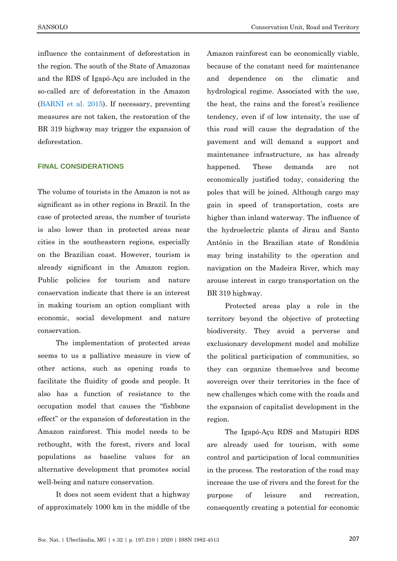SANSOLO **Conservation Unit, Road and Territory** 

influence the containment of deforestation in the region. The south of the State of Amazonas and the RDS of Igapó-Açu are included in the so-called arc of deforestation in the Amazon [\(BARNI et al. 2015\)](#page-12-13). If necessary, preventing measures are not taken, the restoration of the BR 319 highway may trigger the expansion of deforestation.

### **FINAL CONSIDERATIONS**

The volume of tourists in the Amazon is not as significant as in other regions in Brazil. In the case of protected areas, the number of tourists is also lower than in protected areas near cities in the southeastern regions, especially on the Brazilian coast. However, tourism is already significant in the Amazon region. Public policies for tourism and nature conservation indicate that there is an interest in making tourism an option compliant with economic, social development and nature conservation.

The implementation of protected areas seems to us a palliative measure in view of other actions, such as opening roads to facilitate the fluidity of goods and people. It also has a function of resistance to the occupation model that causes the "fishbone effect‖ or the expansion of deforestation in the Amazon rainforest. This model needs to be rethought, with the forest, rivers and local populations as baseline values for an alternative development that promotes social well-being and nature conservation.

It does not seem evident that a highway of approximately 1000 km in the middle of the Amazon rainforest can be economically viable, because of the constant need for maintenance and dependence on the climatic and hydrological regime. Associated with the use, the heat, the rains and the forest's resilience tendency, even if of low intensity, the use of this road will cause the degradation of the pavement and will demand a support and maintenance infrastructure, as has already happened. These demands are not economically justified today, considering the poles that will be joined. Although cargo may gain in speed of transportation, costs are higher than inland waterway. The influence of the hydroelectric plants of Jirau and Santo Antônio in the Brazilian state of Rondônia may bring instability to the operation and navigation on the Madeira River, which may arouse interest in cargo transportation on the BR 319 highway.

Protected areas play a role in the territory beyond the objective of protecting biodiversity. They avoid a perverse and exclusionary development model and mobilize the political participation of communities, so they can organize themselves and become sovereign over their territories in the face of new challenges which come with the roads and the expansion of capitalist development in the region.

The Igapó-Açu RDS and Matupiri RDS are already used for tourism, with some control and participation of local communities in the process. The restoration of the road may increase the use of rivers and the forest for the purpose of leisure and recreation, consequently creating a potential for economic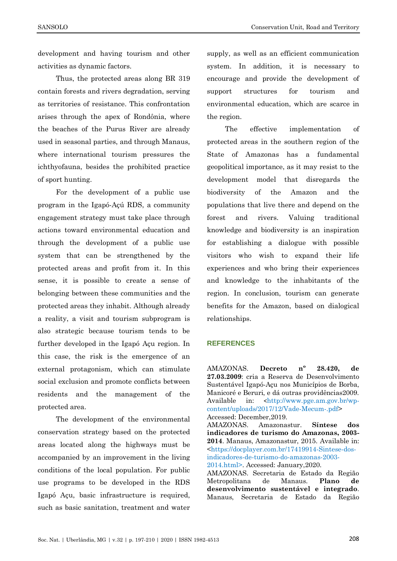development and having tourism and other activities as dynamic factors.

Thus, the protected areas along BR 319 contain forests and rivers degradation, serving as territories of resistance. This confrontation arises through the apex of Rondônia, where the beaches of the Purus River are already used in seasonal parties, and through Manaus, where international tourism pressures the ichthyofauna, besides the prohibited practice of sport hunting.

For the development of a public use program in the Igapó-Açú RDS, a community engagement strategy must take place through actions toward environmental education and through the development of a public use system that can be strengthened by the protected areas and profit from it. In this sense, it is possible to create a sense of belonging between these communities and the protected areas they inhabit. Although already a reality, a visit and tourism subprogram is also strategic because tourism tends to be further developed in the Igapó Açu region. In this case, the risk is the emergence of an external protagonism, which can stimulate social exclusion and promote conflicts between residents and the management of the protected area.

The development of the environmental conservation strategy based on the protected areas located along the highways must be accompanied by an improvement in the living conditions of the local population. For public use programs to be developed in the RDS Igapó Açu, basic infrastructure is required, such as basic sanitation, treatment and water

supply, as well as an efficient communication system. In addition, it is necessary to encourage and provide the development of support structures for tourism and environmental education, which are scarce in the region.

The effective implementation of protected areas in the southern region of the State of Amazonas has a fundamental geopolitical importance, as it may resist to the development model that disregards the biodiversity of the Amazon and the populations that live there and depend on the forest and rivers. Valuing traditional knowledge and biodiversity is an inspiration for establishing a dialogue with possible visitors who wish to expand their life experiences and who bring their experiences and knowledge to the inhabitants of the region. In conclusion, tourism can generate benefits for the Amazon, based on dialogical relationships.

#### **REFERENCES**

<span id="page-11-1"></span>AMAZONAS. **Decreto nº 28.420, de 27.03.2009**: cria a Reserva de Desenvolvimento Sustentável Igapó-Açu nos Municípios de Borba, Manicoré e Beruri, e dá outras providências2009. Available in: <[http://www.pge.am.gov.br/wp](http://www.pge.am.gov.br/wp-content/uploads/2017/12/Vade-Mecum-.pdf)[content/uploads/2017/12/Vade-Mecum-.pdf>](http://www.pge.am.gov.br/wp-content/uploads/2017/12/Vade-Mecum-.pdf) Accessed: December,2019.

<span id="page-11-0"></span>AMAZONAS. Amazonastur. **Síntese dos indicadores de turismo do Amazonas, 2003- 2014**. Manaus, Amazonastur, 2015. Available in: [<https://docplayer.com.br/17419914-Sintese-dos](https://docplayer.com.br/17419914-Sintese-dos-indicadores-de-turismo-do-amazonas-2003-2014.html)[indicadores-de-turismo-do-amazonas-2003-](https://docplayer.com.br/17419914-Sintese-dos-indicadores-de-turismo-do-amazonas-2003-2014.html) [2014.html>](https://docplayer.com.br/17419914-Sintese-dos-indicadores-de-turismo-do-amazonas-2003-2014.html). Accessed: January,2020.

AMAZONAS. Secretaria de Estado da Região Metropolitana de Manaus. **Plano de desenvolvimento sustentável e integrado**. Manaus, Secretaria de Estado da Região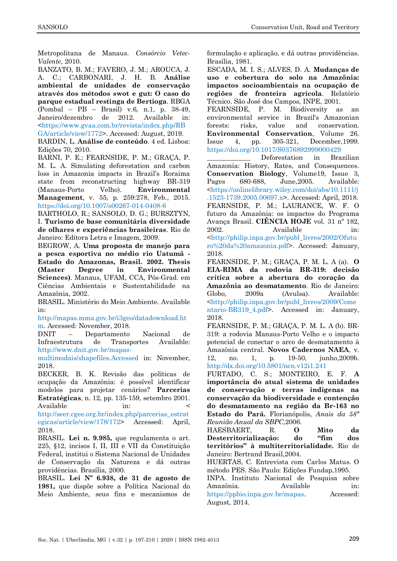Metropolitana de Manaus. *Consórcio Vetec-Valente*, 2010.

<span id="page-12-2"></span>BANZATO, B. M.; FAVERO, J. M.; AROUCA, J. A. C.; CARBONARI, J. H. B. **Análise ambiental de unidades de conservação através dos métodos swot e gut: O caso do parque estadual restinga de Bertioga**. RBGA (Pombal – PB – Brasil) v.6, n.1, p. 38-49, Janeiro/dezembro de 2012. Available in: [<https://www.gvaa.com.br/revista/index.php/RB](https://www.gvaa.com.br/revista/index.php/RBGA/article/view/1772)

[GA/article/view/1772>](https://www.gvaa.com.br/revista/index.php/RBGA/article/view/1772). Accessed: August, 2019.

BARDIN, L. **Análise de conteúdo**. 4 ed. Lisboa: Edições 70, 2010.

<span id="page-12-13"></span>BARNI, P. E.; FEARNSIDE, P. M.; GRAÇA, P. M. L. A. Simulating deforestation and carbon loss in Amazonia impacts in Brazil's Roraima state from reconstructing highway BR-319 (Manaus-Porto Velho). **Environmental Management**, v. 55, p. 259:278, Feb., 2015. <https://doi.org/10.1007/s00267-014-0408-6>

BARTHOLO, R.; SANSOLO, D. G.; BURSZTYN, I. **Turismo de base comunitária diversidade de olhares e experiências brasileiras**. Rio de Janeiro: Editora Letra e Imagem, 2009.

<span id="page-12-12"></span>BEGROW, A. **Uma proposta de manejo para a pesca esportiva no médio rio Uatumã - Estado do Amazonas, Brasil. 2002. Thesis (Master Degree in Environmental Sciences)**. Manaus, UFAM, CCA, Pós-Grad. em Ciências Ambientais e Sustentabilidade na Amazônia, 2002.

BRASIL. Ministério do Meio Ambiente. Available in:

[http://mapas.mma.gov.br/i3geo/datadownload.ht](http://mapas.mma.gov.br/i3geo/datadownload.htm) [m.](http://mapas.mma.gov.br/i3geo/datadownload.htm) Accessed: November, 2018.

DNIT – Departamento Nacional de Infraestrutura de Transportes Available: [http://www.dnit.gov.br/mapas-](http://www.dnit.gov.br/mapas-multimodais/shapefiles.Accessed)

[multimodais/shapefiles.Accessed](http://www.dnit.gov.br/mapas-multimodais/shapefiles.Accessed) in: November, 2018.

<span id="page-12-4"></span>BECKER, B. K. Revisão das políticas de ocupação da Amazônia: é possível identificar modelos para projetar cenários? **Parcerias Estratégicas**, n. 12, pp. 135-159, setembro 2001. Available in: <

[http://seer.cgee.org.br/index.php/parcerias\\_estrat](http://seer.cgee.org.br/index.php/parcerias_estrategicas/article/view/178/172) [egicas/article/view/178/172>](http://seer.cgee.org.br/index.php/parcerias_estrategicas/article/view/178/172) Accessed: April, 2018.

<span id="page-12-5"></span>BRASIL. **Lei n. 9.985,** que regulamenta o art. 225, §12, incisos I, II, III e VII da Constituição Federal, institui o Sistema Nacional de Unidades de Conservação da Natureza e dá outras providências. Brasília, 2000.

<span id="page-12-7"></span>BRASIL. **Lei Nº 6.938, de 31 de agosto de 1981,** que dispõe sobre a Política Nacional do Meio Ambiente, seus fins e mecanismos de

formulação e aplicação, e dá outras providências. Brasília, 1981.

<span id="page-12-6"></span>ESCADA, M. I. S.; ALVES, D. A. **Mudanças de uso e cobertura do solo na Amazônia: impactos socioambientais na ocupação de regiões de fronteira agrícola**. Relatório Técnico. São José dos Campos, INPE, 2001.

FEARNSIDE, P. M. Biodiversity as an environmental service in Brazil's Amazonian forests: risks, value and conservation. **Environmental Conservation**, Volume 26, Issue 4, pp. 305-321, December,1999. <https://doi.org/10.1017/S0376892999000429>

<span id="page-12-0"></span>\_\_\_\_\_\_\_\_\_\_\_\_\_ Deforestation in Brazilian Amazonia: History, Rates, and Consequences. **Conservation Biology**, Volume19, Issue 3, Pages 680-688, June,2005. Available: [<https://onlinelibrary.wiley.com/doi/abs/10.1111/j](https://onlinelibrary.wiley.com/doi/abs/10.1111/j.1523-1739.2005.00697.x) [.1523-1739.2005.00697.x>](https://onlinelibrary.wiley.com/doi/abs/10.1111/j.1523-1739.2005.00697.x). Accessed: April, 2018. FEARNSIDE, P. M.; LAURANCE, W. F. O futuro da Amazônia: os impactos do Programa Avança Brasil. **CIÊNCIA HOJE** vol. 31 nº 182, 2002. Available in: [<http://philip.inpa.gov.br/publ\\_livres/2002/Ofutu](http://philip.inpa.gov.br/publ_livres/2002/Ofuturo%20da%20amazonia.pdf) [ro%20da%20amazonia.pdf>](http://philip.inpa.gov.br/publ_livres/2002/Ofuturo%20da%20amazonia.pdf). Accessed: January, 2018.

<span id="page-12-9"></span>FEARNSIDE, P. M.; GRAÇA, P. M. L. A (a). **O EIA-RIMA da rodovia BR-319: decisão crítica sobre a abertura do coração da Amazônia ao desmatamento**. Rio de Janeiro: Globo, 2009a (Avulsa). Available: [<http://philip.inpa.gov.br/publ\\_livres/2009/Come](http://philip.inpa.gov.br/publ_livres/2009/Comentario-BR319_4.pdf) [ntario-BR319\\_4.pdf>](http://philip.inpa.gov.br/publ_livres/2009/Comentario-BR319_4.pdf). Accessed in: January, 2018.

<span id="page-12-10"></span>FEARNSIDE, P. M.; GRAÇA, P. M. L. A (b). BR-319: a rodovia Manaus-Porto Velho e o impacto potencial de conectar o arco de desmatamento à Amazônia central. **Novos Cadernos NAEA**, v. 12, no. 1, p. 19-50, junho,2009b. <http://dx.doi.org/10.5801/ncn.v12i1.241>

<span id="page-12-8"></span>FURTADO, C. S.; MONTEIRO, E. F. **A importância do atual sistema de unidades de conservação e terras indígenas na conservação da biodiversidade e contenção do desmatamento na região da Br-163 no Estado do Pará.** Florianópolis, *Anais da 58ª Reunião Anual da SBPC*,2006.

<span id="page-12-3"></span>HAESBAERT, R. **O Mito da Desterritorialização: do "fim dos territórios" à multiterritorialidade.** Rio de Janeiro: Bertrand Brasil,2004.

<span id="page-12-1"></span>HUERTAS, C. Entrevista com Carlos Matus. O método PES. São Paulo: Edições Fundap,1995.

<span id="page-12-11"></span>INPA. Instituto Nacional de Pesquisa sobre Amazônia. Available in: [https://ppbio.inpa.gov.br/mapas.](https://ppbio.inpa.gov.br/mapas) Accessed: August, 2014.